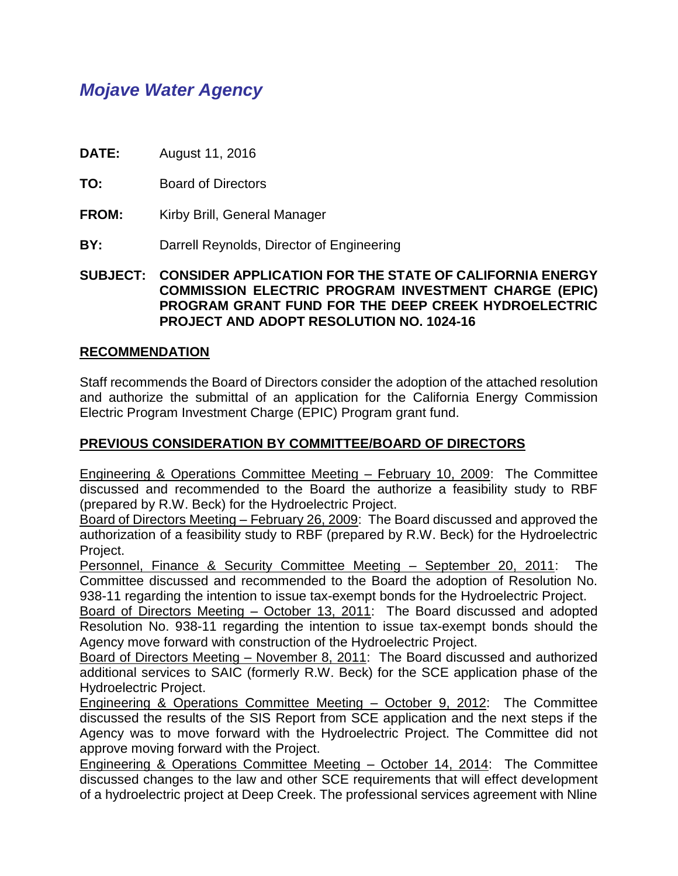# *Mojave Water Agency*

**DATE:** August 11, 2016

**TO:** Board of Directors

- **FROM:** Kirby Brill, General Manager
- **BY:** Darrell Reynolds, Director of Engineering

**SUBJECT: CONSIDER APPLICATION FOR THE STATE OF CALIFORNIA ENERGY COMMISSION ELECTRIC PROGRAM INVESTMENT CHARGE (EPIC) PROGRAM GRANT FUND FOR THE DEEP CREEK HYDROELECTRIC PROJECT AND ADOPT RESOLUTION NO. 1024-16**

#### **RECOMMENDATION**

Staff recommends the Board of Directors consider the adoption of the attached resolution and authorize the submittal of an application for the California Energy Commission Electric Program Investment Charge (EPIC) Program grant fund.

#### **PREVIOUS CONSIDERATION BY COMMITTEE/BOARD OF DIRECTORS**

Engineering & Operations Committee Meeting – February 10, 2009: The Committee discussed and recommended to the Board the authorize a feasibility study to RBF (prepared by R.W. Beck) for the Hydroelectric Project.

Board of Directors Meeting – February 26, 2009: The Board discussed and approved the authorization of a feasibility study to RBF (prepared by R.W. Beck) for the Hydroelectric Project.

Personnel, Finance & Security Committee Meeting – September 20, 2011: The Committee discussed and recommended to the Board the adoption of Resolution No. 938-11 regarding the intention to issue tax-exempt bonds for the Hydroelectric Project.

Board of Directors Meeting – October 13, 2011: The Board discussed and adopted Resolution No. 938-11 regarding the intention to issue tax-exempt bonds should the Agency move forward with construction of the Hydroelectric Project.

Board of Directors Meeting – November 8, 2011: The Board discussed and authorized additional services to SAIC (formerly R.W. Beck) for the SCE application phase of the Hydroelectric Project.

Engineering & Operations Committee Meeting – October 9, 2012: The Committee discussed the results of the SIS Report from SCE application and the next steps if the Agency was to move forward with the Hydroelectric Project. The Committee did not approve moving forward with the Project.

Engineering & Operations Committee Meeting – October 14, 2014: The Committee discussed changes to the law and other SCE requirements that will effect development of a hydroelectric project at Deep Creek. The professional services agreement with Nline